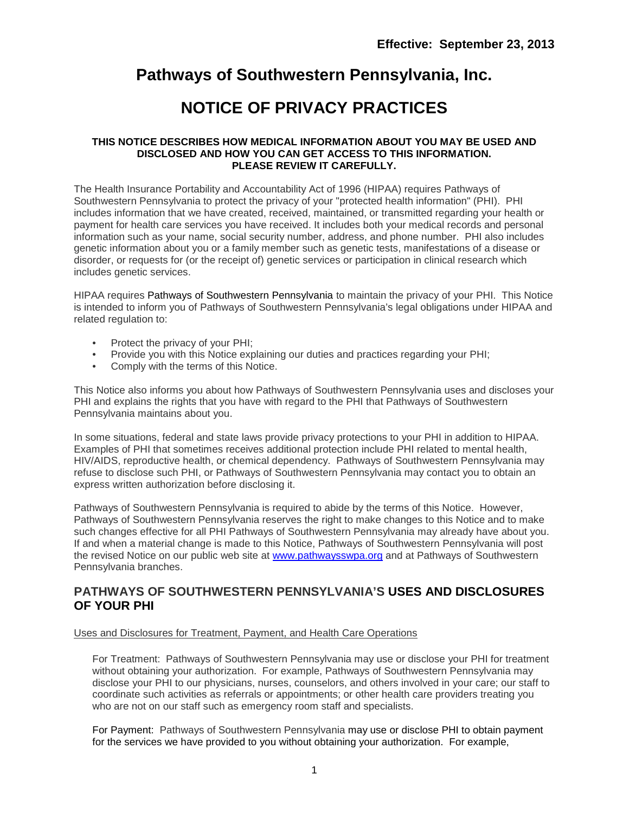## **Pathways of Southwestern Pennsylvania, Inc.**

# **NOTICE OF PRIVACY PRACTICES**

#### **THIS NOTICE DESCRIBES HOW MEDICAL INFORMATION ABOUT YOU MAY BE USED AND DISCLOSED AND HOW YOU CAN GET ACCESS TO THIS INFORMATION. PLEASE REVIEW IT CAREFULLY.**

The Health Insurance Portability and Accountability Act of 1996 (HIPAA) requires Pathways of Southwestern Pennsylvania to protect the privacy of your "protected health information" (PHI). PHI includes information that we have created, received, maintained, or transmitted regarding your health or payment for health care services you have received. It includes both your medical records and personal information such as your name, social security number, address, and phone number. PHI also includes genetic information about you or a family member such as genetic tests, manifestations of a disease or disorder, or requests for (or the receipt of) genetic services or participation in clinical research which includes genetic services.

HIPAA requires Pathways of Southwestern Pennsylvania to maintain the privacy of your PHI. This Notice is intended to inform you of Pathways of Southwestern Pennsylvania's legal obligations under HIPAA and related regulation to:

- Protect the privacy of your PHI;<br>• Provide you with this Notice exp
- Provide you with this Notice explaining our duties and practices regarding your PHI;
- Comply with the terms of this Notice.

This Notice also informs you about how Pathways of Southwestern Pennsylvania uses and discloses your PHI and explains the rights that you have with regard to the PHI that Pathways of Southwestern Pennsylvania maintains about you.

In some situations, federal and state laws provide privacy protections to your PHI in addition to HIPAA. Examples of PHI that sometimes receives additional protection include PHI related to mental health, HIV/AIDS, reproductive health, or chemical dependency. Pathways of Southwestern Pennsylvania may refuse to disclose such PHI, or Pathways of Southwestern Pennsylvania may contact you to obtain an express written authorization before disclosing it.

Pathways of Southwestern Pennsylvania is required to abide by the terms of this Notice. However, Pathways of Southwestern Pennsylvania reserves the right to make changes to this Notice and to make such changes effective for all PHI Pathways of Southwestern Pennsylvania may already have about you. If and when a material change is made to this Notice, Pathways of Southwestern Pennsylvania will post the revised Notice on our public web site at [www.pathwaysswpa.org](http://www.pathwaysswpa.org/) and at Pathways of Southwestern Pennsylvania branches.

### **PATHWAYS OF SOUTHWESTERN PENNSYLVANIA'S USES AND DISCLOSURES OF YOUR PHI**

#### Uses and Disclosures for Treatment, Payment, and Health Care Operations

For Treatment: Pathways of Southwestern Pennsylvania may use or disclose your PHI for treatment without obtaining your authorization. For example, Pathways of Southwestern Pennsylvania may disclose your PHI to our physicians, nurses, counselors, and others involved in your care; our staff to coordinate such activities as referrals or appointments; or other health care providers treating you who are not on our staff such as emergency room staff and specialists.

For Payment: Pathways of Southwestern Pennsylvania may use or disclose PHI to obtain payment for the services we have provided to you without obtaining your authorization. For example,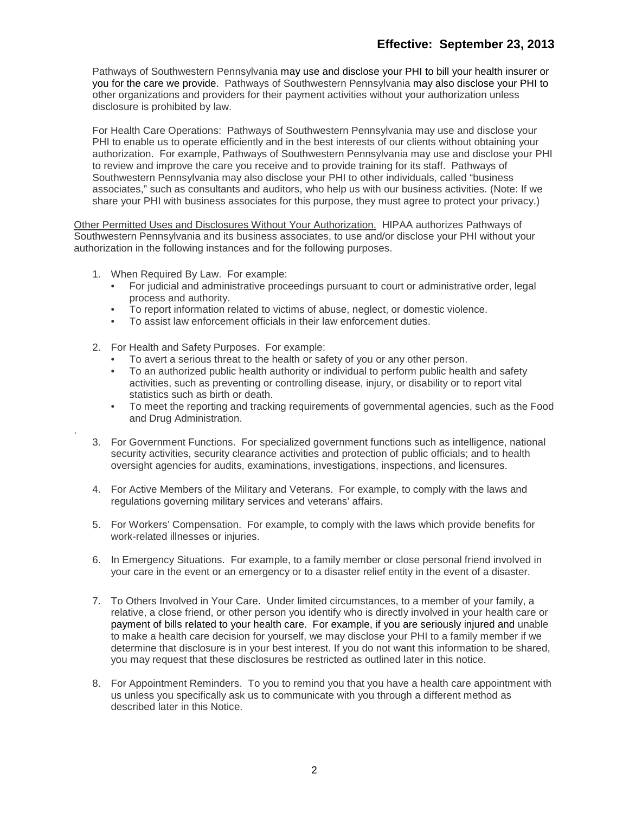Pathways of Southwestern Pennsylvania may use and disclose your PHI to bill your health insurer or you for the care we provide. Pathways of Southwestern Pennsylvania may also disclose your PHI to other organizations and providers for their payment activities without your authorization unless disclosure is prohibited by law.

For Health Care Operations: Pathways of Southwestern Pennsylvania may use and disclose your PHI to enable us to operate efficiently and in the best interests of our clients without obtaining your authorization. For example, Pathways of Southwestern Pennsylvania may use and disclose your PHI to review and improve the care you receive and to provide training for its staff. Pathways of Southwestern Pennsylvania may also disclose your PHI to other individuals, called "business associates," such as consultants and auditors, who help us with our business activities. (Note: If we share your PHI with business associates for this purpose, they must agree to protect your privacy.)

Other Permitted Uses and Disclosures Without Your Authorization. HIPAA authorizes Pathways of Southwestern Pennsylvania and its business associates, to use and/or disclose your PHI without your authorization in the following instances and for the following purposes.

1. When Required By Law. For example:

.

- For judicial and administrative proceedings pursuant to court or administrative order, legal process and authority.
- To report information related to victims of abuse, neglect, or domestic violence.
- To assist law enforcement officials in their law enforcement duties.
- 2. For Health and Safety Purposes. For example:
	- To avert a serious threat to the health or safety of you or any other person.
	- To an authorized public health authority or individual to perform public health and safety activities, such as preventing or controlling disease, injury, or disability or to report vital statistics such as birth or death.
	- To meet the reporting and tracking requirements of governmental agencies, such as the Food and Drug Administration.
- 3. For Government Functions. For specialized government functions such as intelligence, national security activities, security clearance activities and protection of public officials; and to health oversight agencies for audits, examinations, investigations, inspections, and licensures.
- 4. For Active Members of the Military and Veterans. For example, to comply with the laws and regulations governing military services and veterans' affairs.
- 5. For Workers' Compensation. For example, to comply with the laws which provide benefits for work-related illnesses or injuries.
- 6. In Emergency Situations. For example, to a family member or close personal friend involved in your care in the event or an emergency or to a disaster relief entity in the event of a disaster.
- 7. To Others Involved in Your Care. Under limited circumstances, to a member of your family, a relative, a close friend, or other person you identify who is directly involved in your health care or payment of bills related to your health care. For example, if you are seriously injured and unable to make a health care decision for yourself, we may disclose your PHI to a family member if we determine that disclosure is in your best interest. If you do not want this information to be shared, you may request that these disclosures be restricted as outlined later in this notice.
- 8. For Appointment Reminders. To you to remind you that you have a health care appointment with us unless you specifically ask us to communicate with you through a different method as described later in this Notice.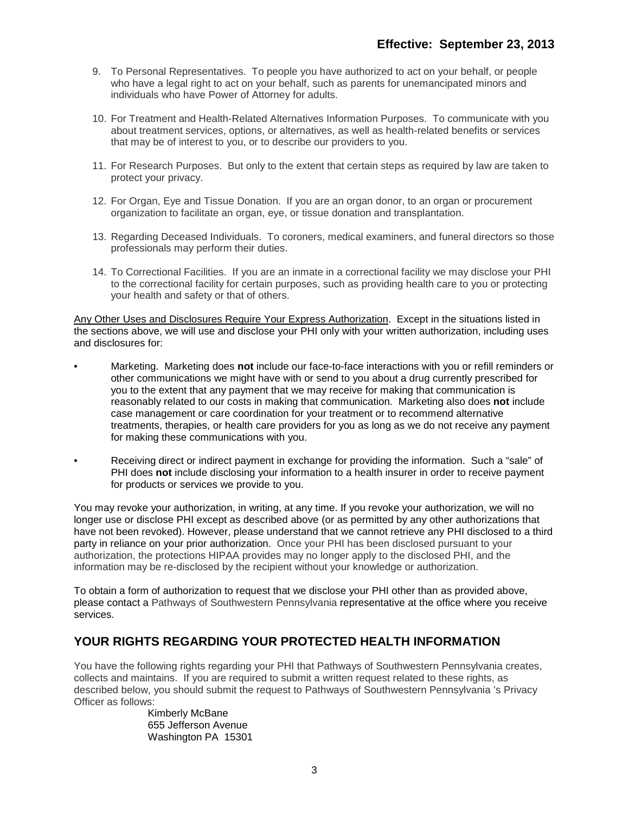- 9. To Personal Representatives. To people you have authorized to act on your behalf, or people who have a legal right to act on your behalf, such as parents for unemancipated minors and individuals who have Power of Attorney for adults.
- 10. For Treatment and Health-Related Alternatives Information Purposes. To communicate with you about treatment services, options, or alternatives, as well as health-related benefits or services that may be of interest to you, or to describe our providers to you.
- 11. For Research Purposes. But only to the extent that certain steps as required by law are taken to protect your privacy.
- 12. For Organ, Eye and Tissue Donation. If you are an organ donor, to an organ or procurement organization to facilitate an organ, eye, or tissue donation and transplantation.
- 13. Regarding Deceased Individuals. To coroners, medical examiners, and funeral directors so those professionals may perform their duties.
- 14. To Correctional Facilities. If you are an inmate in a correctional facility we may disclose your PHI to the correctional facility for certain purposes, such as providing health care to you or protecting your health and safety or that of others.

Any Other Uses and Disclosures Require Your Express Authorization. Except in the situations listed in the sections above, we will use and disclose your PHI only with your written authorization, including uses and disclosures for:

- Marketing. Marketing does **not** include our face-to-face interactions with you or refill reminders or other communications we might have with or send to you about a drug currently prescribed for you to the extent that any payment that we may receive for making that communication is reasonably related to our costs in making that communication. Marketing also does **not** include case management or care coordination for your treatment or to recommend alternative treatments, therapies, or health care providers for you as long as we do not receive any payment for making these communications with you.
- Receiving direct or indirect payment in exchange for providing the information. Such a "sale" of PHI does **not** include disclosing your information to a health insurer in order to receive payment for products or services we provide to you.

You may revoke your authorization, in writing, at any time. If you revoke your authorization, we will no longer use or disclose PHI except as described above (or as permitted by any other authorizations that have not been revoked). However, please understand that we cannot retrieve any PHI disclosed to a third party in reliance on your prior authorization. Once your PHI has been disclosed pursuant to your authorization, the protections HIPAA provides may no longer apply to the disclosed PHI, and the information may be re-disclosed by the recipient without your knowledge or authorization.

To obtain a form of authorization to request that we disclose your PHI other than as provided above, please contact a Pathways of Southwestern Pennsylvania representative at the office where you receive services.

### **YOUR RIGHTS REGARDING YOUR PROTECTED HEALTH INFORMATION**

You have the following rights regarding your PHI that Pathways of Southwestern Pennsylvania creates, collects and maintains. If you are required to submit a written request related to these rights, as described below, you should submit the request to Pathways of Southwestern Pennsylvania 's Privacy Officer as follows:

Kimberly McBane 655 Jefferson Avenue Washington PA 15301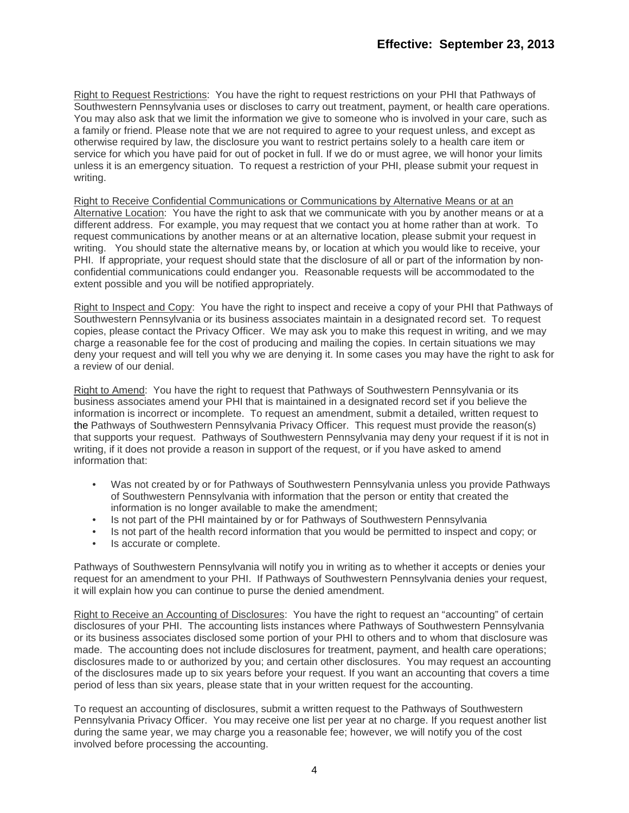Right to Request Restrictions: You have the right to request restrictions on your PHI that Pathways of Southwestern Pennsylvania uses or discloses to carry out treatment, payment, or health care operations. You may also ask that we limit the information we give to someone who is involved in your care, such as a family or friend. Please note that we are not required to agree to your request unless, and except as otherwise required by law, the disclosure you want to restrict pertains solely to a health care item or service for which you have paid for out of pocket in full. If we do or must agree, we will honor your limits unless it is an emergency situation. To request a restriction of your PHI, please submit your request in writing.

Right to Receive Confidential Communications or Communications by Alternative Means or at an Alternative Location: You have the right to ask that we communicate with you by another means or at a different address. For example, you may request that we contact you at home rather than at work. To request communications by another means or at an alternative location, please submit your request in writing. You should state the alternative means by, or location at which you would like to receive, your PHI. If appropriate, your request should state that the disclosure of all or part of the information by nonconfidential communications could endanger you. Reasonable requests will be accommodated to the extent possible and you will be notified appropriately.

Right to Inspect and Copy: You have the right to inspect and receive a copy of your PHI that Pathways of Southwestern Pennsylvania or its business associates maintain in a designated record set. To request copies, please contact the Privacy Officer. We may ask you to make this request in writing, and we may charge a reasonable fee for the cost of producing and mailing the copies. In certain situations we may deny your request and will tell you why we are denying it. In some cases you may have the right to ask for a review of our denial.

Right to Amend: You have the right to request that Pathways of Southwestern Pennsylvania or its business associates amend your PHI that is maintained in a designated record set if you believe the information is incorrect or incomplete. To request an amendment, submit a detailed, written request to the Pathways of Southwestern Pennsylvania Privacy Officer. This request must provide the reason(s) that supports your request. Pathways of Southwestern Pennsylvania may deny your request if it is not in writing, if it does not provide a reason in support of the request, or if you have asked to amend information that:

- Was not created by or for Pathways of Southwestern Pennsylvania unless you provide Pathways of Southwestern Pennsylvania with information that the person or entity that created the information is no longer available to make the amendment;
- Is not part of the PHI maintained by or for Pathways of Southwestern Pennsylvania
- Is not part of the health record information that you would be permitted to inspect and copy; or
- Is accurate or complete.

Pathways of Southwestern Pennsylvania will notify you in writing as to whether it accepts or denies your request for an amendment to your PHI. If Pathways of Southwestern Pennsylvania denies your request, it will explain how you can continue to purse the denied amendment.

Right to Receive an Accounting of Disclosures: You have the right to request an "accounting" of certain disclosures of your PHI. The accounting lists instances where Pathways of Southwestern Pennsylvania or its business associates disclosed some portion of your PHI to others and to whom that disclosure was made. The accounting does not include disclosures for treatment, payment, and health care operations; disclosures made to or authorized by you; and certain other disclosures. You may request an accounting of the disclosures made up to six years before your request. If you want an accounting that covers a time period of less than six years, please state that in your written request for the accounting.

To request an accounting of disclosures, submit a written request to the Pathways of Southwestern Pennsylvania Privacy Officer. You may receive one list per year at no charge. If you request another list during the same year, we may charge you a reasonable fee; however, we will notify you of the cost involved before processing the accounting.